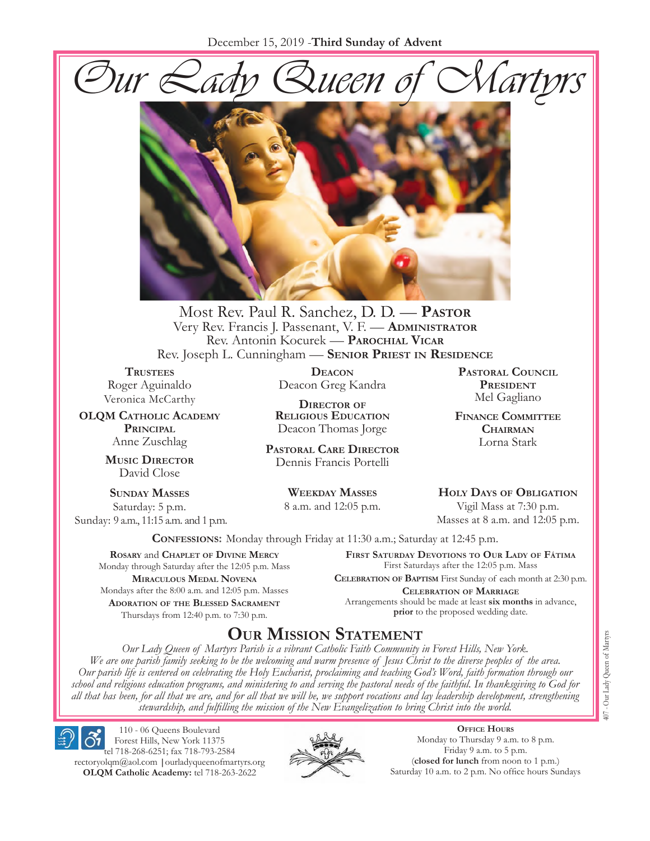



Most Rev. Paul R. Sanchez, D. D. — **Pastor** Very Rev. Francis J. Passenant, V. F. - **ADMINISTRATOR** Rev. Antonin Kocurek — **Parochial Vicar** Rev. Joseph L. Cunningham — **Senior Priest in Residence**

**TRUSTEES** Roger Aguinaldo Veronica McCarthy

**OLQM Catholic Academy Principal** Anne Zuschlag

> **Music Director** David Close

**Sunday Masses** Saturday: 5 p.m. Sunday: 9 a.m., 11:15 a.m. and 1 p.m.

**Deacon** Deacon Greg Kandra

**Director of Religious Education** Deacon Thomas Jorge

**Pastoral Care Director** Dennis Francis Portelli

> **Weekday Masses** 8 a.m. and 12:05 p.m.

**Pastoral Council President** Mel Gagliano

**Finance Committee Chairman** Lorna Stark

**Holy Days of Obligation** Vigil Mass at 7:30 p.m.

Masses at 8 a.m. and 12:05 p.m.

**Confessions:** Monday through Friday at 11:30 a.m.; Saturday at 12:45 p.m.

**Rosary** and **Chaplet of Divine Mercy** Monday through Saturday after the 12:05 p.m. Mass **Miraculous Medal Novena** Mondays after the 8:00 a.m. and 12:05 p.m. Masses **Adoration of the Blessed Sacrament** Thursdays from 12:40 p.m. to 7:30 p.m.

**First Saturday Devotions to Our Lady of Fátima** First Saturdays after the 12:05 p.m. Mass

**Celebration of Baptism** First Sunday of each month at 2:30 p.m. **Celebration of Marriage** Arrangements should be made at least **six months** in advance, **prior** to the proposed wedding date.

# **Our Mission Statement**

*Our Lady Queen of Martyrs Parish is a vibrant Catholic Faith Community in Forest Hills, New York. We are one parish family seeking to be the welcoming and warm presence of Jesus Christ to the diverse peoples of the area. Our parish life is centered on celebrating the Holy Eucharist, proclaiming and teaching God's Word, faith formation through our school and religious education programs, and ministering to and serving the pastoral needs of the faithful. In thanksgiving to God for all that has been, for all that we are, and for all that we will be, we support vocations and lay leadership development, strengthening stewardship, and fulfilling the mission of the New Evangelization to bring Christ into the world.*

Forest Hills, New York 11375 tel 718-268-6251; fax 718-793-2584 [rectoryolqm@aol.com](mailto:rectoryolqm@aol.com) **|**[ourladyqueenofmartyrs.org](www.ourladyqueenofmartyrs.org) **OLQM Catholic Academy:** tel 718-263-2622

110 - 06 Queens Boulevard



**Office Hours** Monday to Thursday 9 a.m. to 8 p.m. Friday 9 a.m. to 5 p.m. (**closed for lunch** from noon to 1 p.m.) Saturday 10 a.m. to 2 p.m. No office hours Sundays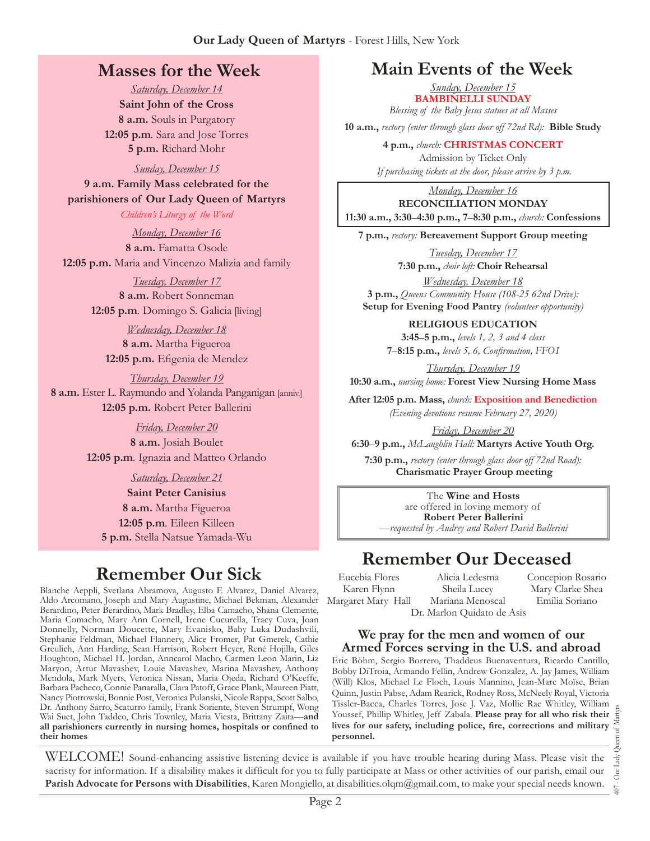# **Masses for the Week**

*Saturday, December 14* **Saint John of the Cross 8 a.m.** Souls in Purgatory **12:05 p.m***.* Sara and Jose Torres **5 p.m.** Richard Mohr

*Sunday, December 15*

**9 a.m. Family Mass celebrated for the parishioners of Our Lady Queen of Martyrs**

*Children's Liturgy of the Word* 

*Monday, December 16* **8 a.m.** Famatta Osode **12:05 p.m.** Maria and Vincenzo Malizia and family

> *Tuesday, December 17* **8 a.m.** Robert Sonneman **12:05 p.m***.* Domingo S. Galicia [living]

*Wednesday, December 18* **8 a.m.** Martha Figueroa **12:05 p.m.** Efigenia de Mendez

*Thursday, December 19* **8 a.m.** Ester L. Raymundo and Yolanda Panganigan [anniv.] **12:05 p.m.** Robert Peter Ballerini

> *Friday, December 20* **8 a.m.** Josiah Boulet **12:05 p.m***.* Ignazia and Matteo Orlando

> > *Saturday, December 21*

**Saint Peter Canisius 8 a.m.** Martha Figueroa **12:05 p.m***.* Eileen Killeen **5 p.m.** Stella Natsue Yamada-Wu

# **Remember Our Sick**

Blanche Aeppli, Svetlana Abramova, Augusto F. Alvarez, Daniel Alvarez, Aldo Arcomano, Joseph and Mary Augustine, Michael Bekman, Alexander Berardino, Peter Berardino, Mark Bradley, Elba Camacho, Shana Clemente, Maria Comacho, Mary Ann Cornell, Irene Cucurella, Tracy Cuva, Joan Donnelly, Norman Doucette, Mary Evanisko, Baby Luka Dudashvili, Stephanie Feldman, Michael Flannery, Alice Fromer, Pat Gmerek, Cathie Greulich, Ann Harding, Sean Harrison, Robert Heyer, René Hojilla, Giles Houghton, Michael H. Jordan, Anncarol Macho, Carmen Leon Marin, Liz Maryon, Artur Mavashev, Louie Mavashev, Marina Mavashev, Anthony Mendola, Mark Myers, Veronica Nissan, Maria Ojeda, Richard O'Keeffe, Barbara Pacheco, Connie Panaralla, Clara Patoff, Grace Plank, Maureen Piatt, Nancy Piotrowski, Bonnie Post, Veronica Pulanski, Nicole Rappa, Scott Salbo, Dr. Anthony Sarro, Scaturro family, Frank Soriente, Steven Strumpf, Wong Wai Suet, John Taddeo, Chris Townley, Maria Viesta, Brittany Zaita—**and all parishioners currently in nursing homes, hospitals or confined to their homes**

# **Main Events of the Week**

*Sunday, December 15* **BAMBINELLI SUNDAY**  *Blessing of the Baby Jesus statues at all Masses*

**10 a.m.,** *rectory (enter through glass door off 72nd Rd):* **Bible Study**

**4 p.m.,** *church:* **CHRISTMAS CONCERT**

Admission by Ticket Only  *If purchasing tickets at the door, please arrive by 3 p.m.*

*Monday, December 16* **RECONCILIATION MONDAY 11:30 a.m., 3:30**–**4:30 p.m., 7**–**8:30 p.m.,** *church:* **Confessions**

**7 p.m.,** *rectory:* **Bereavement Support Group meeting**

*Tuesday, December 17* **7:30 p.m.,** *choir loft:* **Choir Rehearsal**

*Wednesday, December 18* **3 p.m.,** *Queens Community House (108-25 62nd Drive):*  **Setup for Evening Food Pantry** *(volunteer opportunity)*

**RELIGIOUS EDUCATION** 

**3:45**–**5 p.m.,** *levels 1, 2, 3 and 4 class* **7**–**8:15 p.m.,** *levels 5, 6, Confirmation, FFO  I*

*Thursday, December 19*

**10:30 a.m.,** *nursing home:* **Forest View Nursing Home Mass**

**After 12:05 p.m. Mass,** *church:* **Exposition and Benediction** *(Evening devotions resume February 27, 2020)*

*Friday, December 20*

**6:30**–**9 p.m.,** *McLaughlin Hall:* **Martyrs Active Youth Org.**

**7:30 p.m.,** *rectory (enter through glass door off 72nd Road):*  **Charismatic Prayer Group meeting**

The **Wine and Hosts** are offered in loving memory of **Robert Peter Ballerini** *—requested by Audrey and Robert David Ballerini*

# **Remember Our Deceased**

Eucebia Flores Karen Flynn Margaret Mary Hall

Alicia Ledesma Sheila Lucey Mariana Menoscal Concepion Rosario Mary Clarke Shea Emilia Soriano Dr. Marlon Quidato de Asis

#### **We pray for the men and women of our Armed Forces serving in the U.S. and abroad**

Eric Böhm, Sergio Borrero, Thaddeus Buenaventura, Ricardo Cantillo, Bobby DiTroia, Armando Fellin, Andrew Gonzalez, A. Jay James, William (Will) Klos, Michael Le Floch, Louis Mannino, Jean-Marc Moïse, Brian Quinn, Justin Pabse, Adam Rearick, Rodney Ross, McNeely Royal, Victoria Tissler-Bacca, Charles Torres, Jose J. Vaz, Mollie Rae Whitley, William Youssef, Phillip Whitley, Jeff Zabala. **Please pray for all who risk their lives for our safety, including police, fire, corrections and military personnel.**

407 - Our Lady Queen of Martyrs Our Lady  $+00$ 

WELCOME! Sound-enhancing assistive listening device is available if you have trouble hearing during Mass. Please visit the sacristy for information. If a disability makes it difficult for you to fully participate at Mass or other activities of our parish, email our **Parish Advocate for Persons with Disabilities**, Karen Mongiello, at [disabilities.olqm@gmail.com](mailto:disabilities.olqm@gmail.com), to make your special needs known.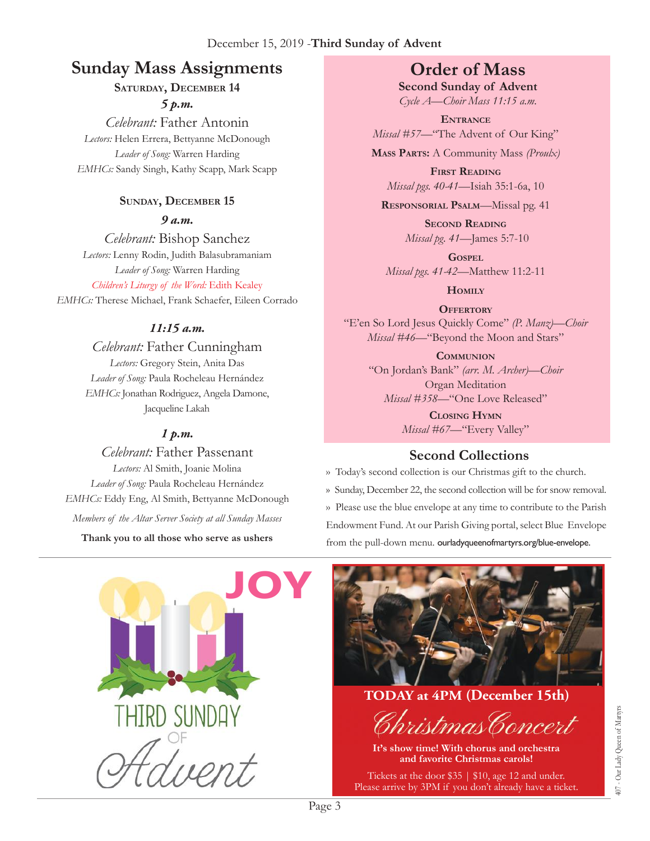# **Sunday Mass Assignments Order of Mass**

### **Saturday, December 14**

*5 p.m.* 

*Celebrant:* Father Antonin *Lectors:* Helen Errera, Bettyanne McDonough *Leader of Song:* Warren Harding *EMHCs:* Sandy Singh, Kathy Scapp, Mark Scapp

# **Sunday, December 15**

*9 a.m.* 

*Celebrant:* Bishop Sanchez *Lectors:* Lenny Rodin, Judith Balasubramaniam *Leader of Song:* Warren Harding *Children's Liturgy of the Word:* Edith Kealey *EMHCs:* Therese Michael, Frank Schaefer, Eileen Corrado

### *11:15 a.m.*

*Celebrant:* Father Cunningham *Lectors:* Gregory Stein, Anita Das *Leader of Song:* Paula Rocheleau Hernández *EMHCs:* Jonathan Rodriguez, Angela Damone, Jacqueline Lakah

### *1 p.m.*

*Celebrant:* Father Passenant *Lectors:* Al Smith, Joanie Molina *Leader of Song:* Paula Rocheleau Hernández *EMHCs:* Eddy Eng, Al Smith, Bettyanne McDonough *Members of the Altar Server Society at all Sunday Masses*

**Thank you to all those who serve as ushers**

**Second Sunday of Advent** *Cycle A—Choir Mass 11:15 a.m.*

**Entrance** *Missal #57—*"The Advent of Our King"

**Mass Parts:** A Community Mass *(Proulx)*

**First Reading** *Missal pgs. 40-41—*Isiah 35:1-6a, 10

**Responsorial Psalm**—Missal pg. 41

**Second Reading** *Missal pg. 41—*James 5:7-10

**Gospel** *Missal pgs. 41-42—*Matthew 11:2-11

**Homily**

**OFFERTORY** "E'en So Lord Jesus Quickly Come" *(P. Manz)—Choir Missal #46—*"Beyond the Moon and Stars"

**Communion** "On Jordan's Bank" *(arr. M. Archer)—Choir* Organ Meditation *Missal #358—*"One Love Released"

> **Closing Hymn** *Missal #67*—"Every Valley"

# **Second Collections**

›› Today's second collection is our Christmas gift to the church. ›› Sunday, December 22, the second collection will be for snow removal. ›› Please use the blue envelope at any time to contribute to the Parish Endowment Fund. At our Parish Giving portal, select Blue Envelope from the pull-down menu. ourladyqueenofmartyrs.org/blue-envelope.





**TODAY at 4PM (December 15th)**



**It's show time! With chorus and orchestra and favorite Christmas carols!** 

Tickets at the door \$35 | \$10, age 12 and under. Please arrive by 3PM if you don't already have a ticket.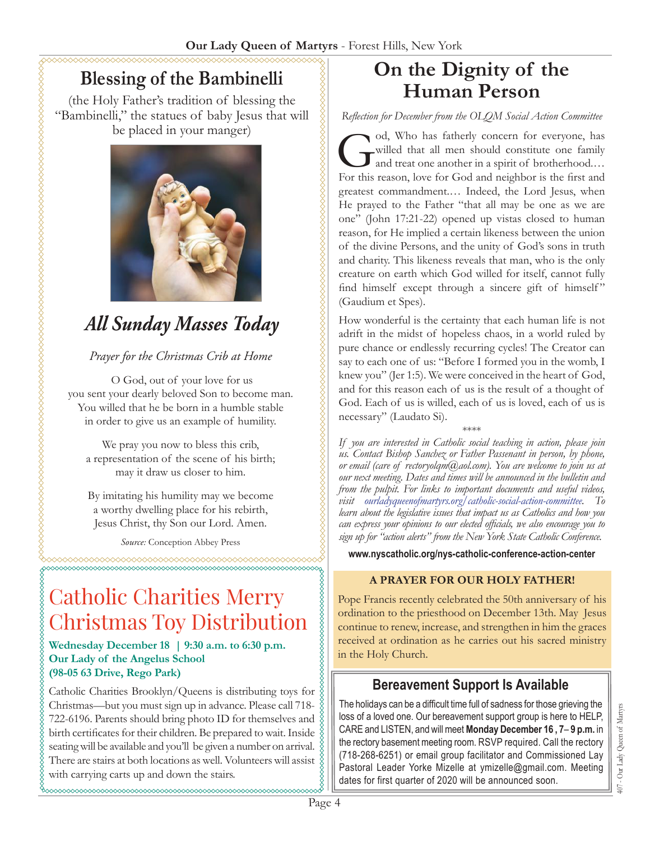# **Blessing of the Bambinelli**

(the Holy Father's tradition of blessing the "Bambinelli," the statues of baby Jesus that will be placed in your manger)



# *All Sunday Masses Today*

#### *Prayer for the Christmas Crib at Home*

 O God, out of your love for us you sent your dearly beloved Son to become man. You willed that he be born in a humble stable in order to give us an example of humility.

We pray you now to bless this crib, a representation of the scene of his birth; may it draw us closer to him.

By imitating his humility may we become a worthy dwelling place for his rebirth, Jesus Christ, thy Son our Lord. Amen.

*Source:* Conception Abbey Press

# Catholic Charities Merry Christmas Toy Distribution

**Wednesday December 18 | 9:30 a.m. to 6:30 p.m. Our Lady of the Angelus School (98-05 63 Drive, Rego Park)**

Catholic Charities Brooklyn/Queens is distributing toys for Christmas—but you must sign up in advance. Please call 718- 722-6196. Parents should bring photo ID for themselves and birth certificates for their children. Be prepared to wait. Inside seating will be available and you'll be given a number on arrival. There are stairs at both locations as well. Volunteers will assist with carrying carts up and down the stairs.

# **On the Dignity of the Human Person**

*Reflection for December from the OLQM Social Action Committee*

God, Who has fatherly concern for everyone, has<br>willed that all men should constitute one family<br>and treat one another in a spirit of brotherhood....<br>For this reason, love for God and neighbor is the first and willed that all men should constitute one family and treat one another in a spirit of brotherhood.… For this reason, love for God and neighbor is the first and greatest commandment.… Indeed, the Lord Jesus, when He prayed to the Father "that all may be one as we are one" (John 17:21-22) opened up vistas closed to human reason, for He implied a certain likeness between the union of the divine Persons, and the unity of God's sons in truth and charity. This likeness reveals that man, who is the only creature on earth which God willed for itself, cannot fully find himself except through a sincere gift of himself" (Gaudium et Spes).

How wonderful is the certainty that each human life is not adrift in the midst of hopeless chaos, in a world ruled by pure chance or endlessly recurring cycles! The Creator can say to each one of us: "Before I formed you in the womb, I knew you" (Jer 1:5). We were conceived in the heart of God, and for this reason each of us is the result of a thought of God. Each of us is willed, each of us is loved, each of us is necessary" (Laudato Si).

\*\*\*\*

*If you are interested in Catholic social teaching in action, please join us. Contact Bishop Sanchez or Father Passenant in person, by phone, or email (care of [rectoryolqm@aol.com](mailto:rectoryolqm@aol.com)). You are welcome to join us at our next meeting. Dates and times will be announced in the bulletin and from the pulpit. For links to important documents and useful videos, visit [ourladyqueenofmartyrs.org/catholic-social-action-committee](https://ourladyqueenofmartyrs.org/catholic-social-action-committee/). To learn about the legislative issues that impact us as Catholics and how you can express your opinions to our elected officials, we also encourage you to sign up for "action alerts" from the New York State Catholic Conference.*

**[www.nyscatholic.org/nys-catholic-conference-action-center](https://www.nyscatholic.org/nys-catholic-conference-action-center/)**

#### **A PRAYER FOR OUR HOLY FATHER!**

Pope Francis recently celebrated the 50th anniversary of his ordination to the priesthood on December 13th. May Jesus continue to renew, increase, and strengthen in him the graces received at ordination as he carries out his sacred ministry in the Holy Church.

# **Bereavement Support Is Available**

The holidays can be a difficult time full of sadness for those grieving the loss of a loved one. Our bereavement support group is here to HELP, CARE and LISTEN, and will meet **Monday December 16 , 7**– **9 p.m.** in the rectory basement meeting room. RSVP required. Call the rectory (718-268-6251) or email group facilitator and Commissioned Lay Pastoral Leader Yorke Mizelle at ymizelle@gmail.com. Meeting dates for first quarter of 2020 will be announced soon.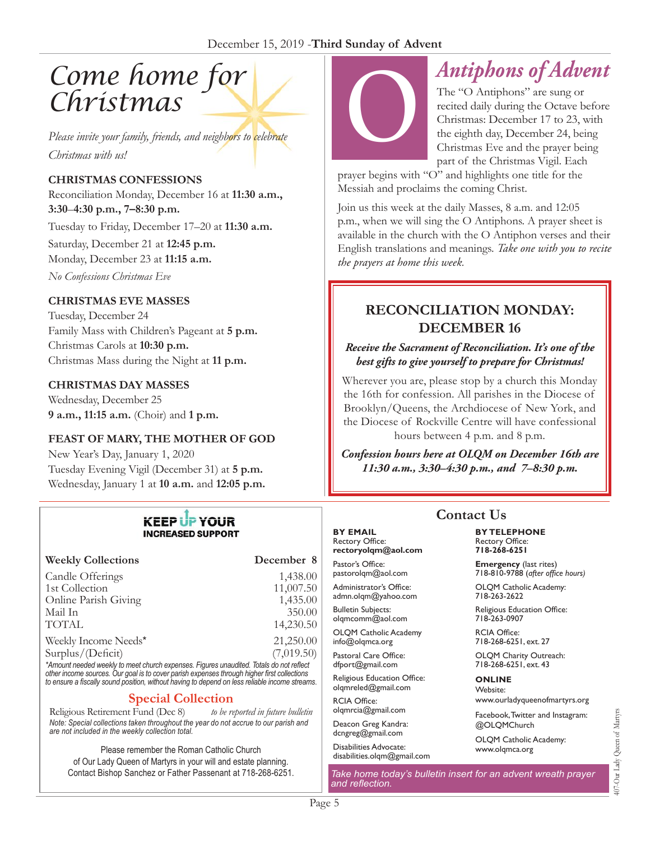# *Come home for Christmas*

*Please invite your family, friends, and neighbors to celebrate Christmas with us!*

#### **CHRISTMAS CONFESSIONS**

Reconciliation Monday, December 16 at **11:30 a.m., 3:30**–**4:30 p.m., 7–8:30 p.m.**

Tuesday to Friday, December 17–20 at **11:30 a.m.**

Saturday, December 21 at **12:45 p.m.** 

Monday, December 23 at **11:15 a.m.** 

*No Confessions Christmas Eve*

#### **CHRISTMAS EVE MASSES**

Tuesday, December 24 Family Mass with Children's Pageant at **5 p.m.** Christmas Carols at **10:30 p.m.** Christmas Mass during the Night at **11 p.m.**

#### **CHRISTMAS DAY MASSES**

Wednesday, December 25 **9 a.m., 11:15 a.m.** (Choir) and **1 p.m.** 

#### **FEAST OF MARY, THE MOTHER OF GOD**

New Year's Day, January 1, 2020 Tuesday Evening Vigil (December 31) at **5 p.m.** Wednesday, January 1 at **10 a.m.** and **12:05 p.m.**

#### **KEEP UP YOUR INCREASED SUPPORT**

| <b>Weekly Collections</b>                                                              | December 8 |
|----------------------------------------------------------------------------------------|------------|
| Candle Offerings                                                                       | 1,438.00   |
| 1st Collection                                                                         | 11,007.50  |
| Online Parish Giving                                                                   | 1,435.00   |
| Mail In                                                                                | 350.00     |
| <b>TOTAL</b>                                                                           | 14,230.50  |
| Weekly Income Needs*                                                                   | 21,250.00  |
| Surplus/(Deficit)                                                                      | (7,019.50) |
| *Amount nooded weekly to meet church ownersee. Figures unsudited Totals de not reflect |            |

*\*Amount needed weekly to meet church expenses. Figures unaudited. Totals do not reflect other income sources. Our goal is to cover parish expenses through higher first collections to ensure a fiscally sound position, without having to depend on less reliable income streams*.

**Special Collection**<br>t Fund (Dec 8) to be reported in future bulletin Religious Retirement Fund (Dec 8) *Note: Special collections taken throughout the year do not accrue to our parish and are not included in the weekly collection total.*

Please remember the Roman Catholic Church of Our Lady Queen of Martyrs in your will and estate planning. Contact Bishop Sanchez or Father Passenant at 718-268-6251.



# *Antiphons of Advent*

The "O Antiphons" are sung or recited daily during the Octave before Christmas: December 17 to 23, with the eighth day, December 24, being Christmas Eve and the prayer being part of the Christmas Vigil. Each

prayer begins with "O" and highlights one title for the Messiah and proclaims the coming Christ.

Join us this week at the daily Masses, 8 a.m. and 12:05 p.m., when we will sing the O Antiphons. A prayer sheet is available in the church with the O Antiphon verses and their English translations and meanings. *Take one with you to recite the prayers at home this week.*

### **RECONCILIATION MONDAY: DECEMBER 16**

#### *Receive the Sacrament of Reconciliation. It's one of the best gifts to give yourself to prepare for Christmas!*

Wherever you are, please stop by a church this Monday the 16th for confession. All parishes in the Diocese of Brooklyn/Queens, the Archdiocese of New York, and the Diocese of Rockville Centre will have confessional hours between 4 p.m. and 8 p.m.

*Confession hours here at OLQM on December 16th are 11:30 a.m., 3:30–4:30 p.m., and 7–8:30 p.m.*

### **Contact Us**

**BY TELEPHONE** Rectory Office: **718-268-6251**

**Emergency** (last rites) 718-810-9788 (*after office hours)*

OLQM Catholic Academy: 718-263-2622

Religious Education Office: 718-263-0907

RCIA Office: 718-268-6251, ext. 27

OLQM Charity Outreach: 718-268-6251, ext. 43

#### **ONLINE**

Website: www.ourladyqueenofmartyrs.org

Facebook, Twitter and Instagram: @OLQMChurch

OLQM Catholic Academy: <www.olqmca.org>

*Take home today's bulletin insert for an advent wreath prayer and reflection.*

**BY EMAIL** Rectory Office:

Pastor's Office: pastorolqm@aol.com Administrator's Office: admn.olqm@yahoo.com Bulletin Subjects: olqmcomm@aol.com OLQM Catholic Academy info@olqmca.org Pastoral Care Office: dfport@gmail.com Religious Education Office: olqmreled@gmail.com RCIA Office: [olqmrcia@gmail.com](mailto:olqmrcia@gmail.com) Deacon Greg Kandra: dcngreg@gmail.com Disabilities Advocate: [disabilities.olqm@gmail.com](mailto:disabilities.olqm@gmail.com)

**rectoryolqm@aol.com**